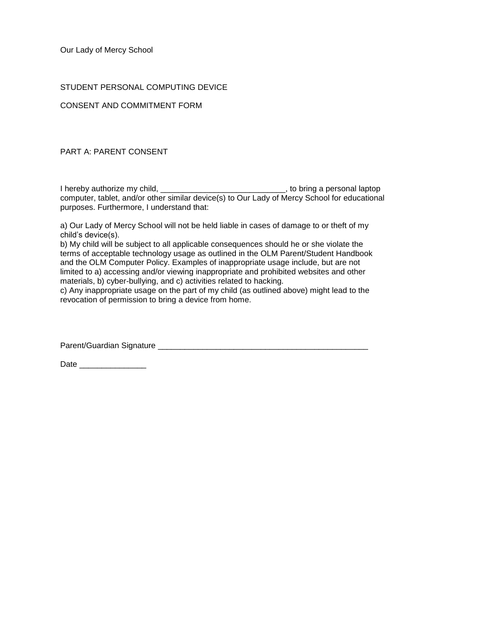Our Lady of Mercy School

## STUDENT PERSONAL COMPUTING DEVICE

CONSENT AND COMMITMENT FORM

PART A: PARENT CONSENT

I hereby authorize my child, \_\_\_\_\_\_\_\_\_\_\_\_\_\_\_\_\_\_\_\_\_\_\_\_\_\_\_\_\_\_\_, to bring a personal laptop computer, tablet, and/or other similar device(s) to Our Lady of Mercy School for educational purposes. Furthermore, I understand that:

a) Our Lady of Mercy School will not be held liable in cases of damage to or theft of my child's device(s).

b) My child will be subject to all applicable consequences should he or she violate the terms of acceptable technology usage as outlined in the OLM Parent/Student Handbook and the OLM Computer Policy. Examples of inappropriate usage include, but are not limited to a) accessing and/or viewing inappropriate and prohibited websites and other materials, b) cyber-bullying, and c) activities related to hacking.

c) Any inappropriate usage on the part of my child (as outlined above) might lead to the revocation of permission to bring a device from home.

Parent/Guardian Signature \_\_\_\_\_\_\_\_\_\_\_\_\_\_\_\_\_\_\_\_\_\_\_\_\_\_\_\_\_\_\_\_\_\_\_\_\_\_\_\_\_\_\_\_\_\_\_

Date  $\Box$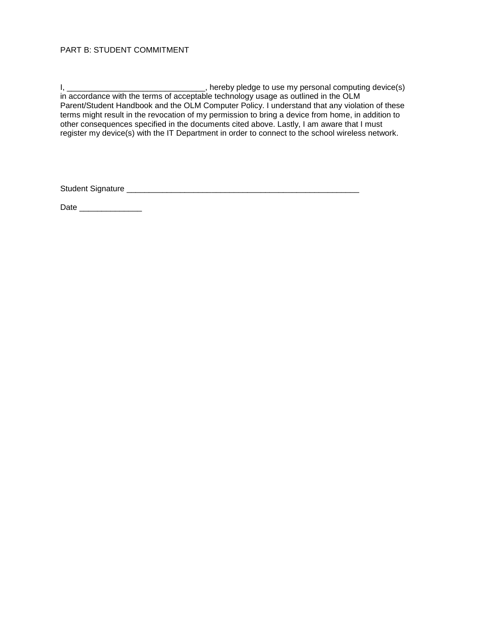## PART B: STUDENT COMMITMENT

I, \_\_\_\_\_\_\_\_\_\_\_\_\_\_\_\_\_\_\_\_\_\_\_\_\_\_\_\_\_\_\_\_\_\_\_, hereby pledge to use my personal computing device(s) in accordance with the terms of acceptable technology usage as outlined in the OLM Parent/Student Handbook and the OLM Computer Policy. I understand that any violation of these terms might result in the revocation of my permission to bring a device from home, in addition to other consequences specified in the documents cited above. Lastly, I am aware that I must register my device(s) with the IT Department in order to connect to the school wireless network.

Student Signature \_\_\_\_\_\_\_\_\_\_\_\_\_\_\_\_\_\_\_\_\_\_\_\_\_\_\_\_\_\_\_\_\_\_\_\_\_\_\_\_\_\_\_\_\_\_\_\_\_\_\_\_

Date \_\_\_\_\_\_\_\_\_\_\_\_\_\_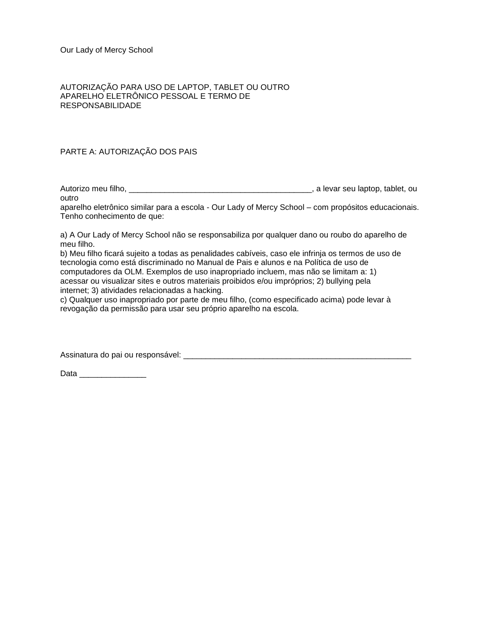## AUTORIZAÇÃO PARA USO DE LAPTOP, TABLET OU OUTRO APARELHO ELETRÔNICO PESSOAL E TERMO DE RESPONSABILIDADE

## PARTE A: AUTORIZAÇÃO DOS PAIS

Autorizo meu filho, \_\_\_\_\_\_\_\_\_\_\_\_\_\_\_\_\_\_\_\_\_\_\_\_\_\_\_\_\_\_\_\_\_\_\_\_\_\_\_\_\_, a levar seu laptop, tablet, ou outro

aparelho eletrônico similar para a escola - Our Lady of Mercy School – com propósitos educacionais. Tenho conhecimento de que:

a) A Our Lady of Mercy School não se responsabiliza por qualquer dano ou roubo do aparelho de meu filho.

b) Meu filho ficará sujeito a todas as penalidades cabíveis, caso ele infrinja os termos de uso de tecnologia como está discriminado no Manual de Pais e alunos e na Política de uso de computadores da OLM. Exemplos de uso inapropriado incluem, mas não se limitam a: 1) acessar ou visualizar sites e outros materiais proibidos e/ou impróprios; 2) bullying pela internet; 3) atividades relacionadas a hacking.

c) Qualquer uso inapropriado por parte de meu filho, (como especificado acima) pode levar à revogação da permissão para usar seu próprio aparelho na escola.

Assinatura do pai ou responsável: **example a la constantante de la constantante de la constantante de la constant** 

Data \_\_\_\_\_\_\_\_\_\_\_\_\_\_\_